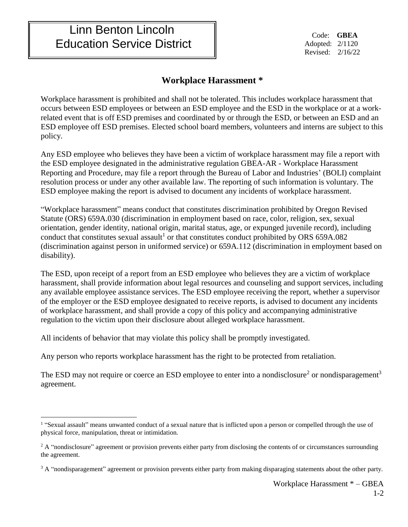## Linn Benton Lincoln Education Service District

 Code: **GBEA** Adopted: 2/1120 Revised: 2/16/22

## **Workplace Harassment \***

Workplace harassment is prohibited and shall not be tolerated. This includes workplace harassment that occurs between ESD employees or between an ESD employee and the ESD in the workplace or at a workrelated event that is off ESD premises and coordinated by or through the ESD, or between an ESD and an ESD employee off ESD premises. Elected school board members, volunteers and interns are subject to this policy.

Any ESD employee who believes they have been a victim of workplace harassment may file a report with the ESD employee designated in the administrative regulation GBEA-AR - Workplace Harassment Reporting and Procedure, may file a report through the Bureau of Labor and Industries' (BOLI) complaint resolution process or under any other available law. The reporting of such information is voluntary. The ESD employee making the report is advised to document any incidents of workplace harassment.

"Workplace harassment" means conduct that constitutes discrimination prohibited by Oregon Revised Statute (ORS) 659A.030 (discrimination in employment based on race, color, religion, sex, sexual orientation, gender identity, national origin, marital status, age, or expunged juvenile record), including conduct that constitutes sexual assault<sup>1</sup> or that constitutes conduct prohibited by ORS 659A.082 (discrimination against person in uniformed service) or 659A.112 (discrimination in employment based on disability).

The ESD, upon receipt of a report from an ESD employee who believes they are a victim of workplace harassment, shall provide information about legal resources and counseling and support services, including any available employee assistance services. The ESD employee receiving the report, whether a supervisor of the employer or the ESD employee designated to receive reports, is advised to document any incidents of workplace harassment, and shall provide a copy of this policy and accompanying administrative regulation to the victim upon their disclosure about alleged workplace harassment.

All incidents of behavior that may violate this policy shall be promptly investigated.

 $\overline{a}$ 

Any person who reports workplace harassment has the right to be protected from retaliation.

The ESD may not require or coerce an ESD employee to enter into a nondisclosure<sup>2</sup> or nondisparagement<sup>3</sup> agreement.

<sup>&</sup>lt;sup>1</sup> "Sexual assault" means unwanted conduct of a sexual nature that is inflicted upon a person or compelled through the use of physical force, manipulation, threat or intimidation.

<sup>&</sup>lt;sup>2</sup> A "nondisclosure" agreement or provision prevents either party from disclosing the contents of or circumstances surrounding the agreement.

 $3$  A "nondisparagement" agreement or provision prevents either party from making disparaging statements about the other party.